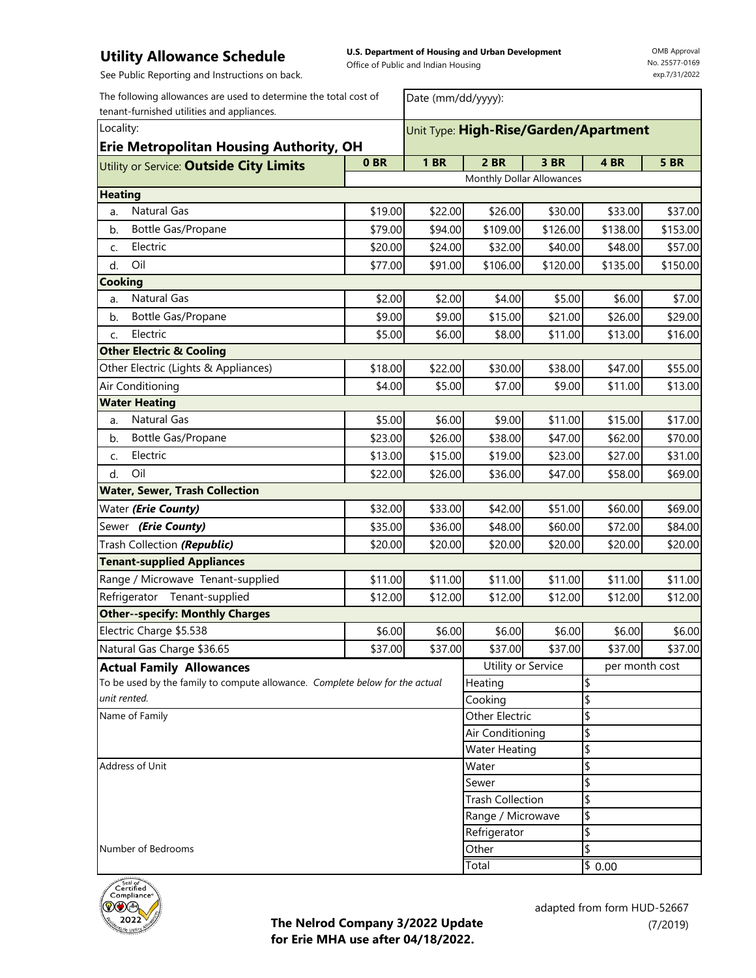**U.S. Department of Housing and Urban Development**  Office of Public and Indian Housing

Date (mm/dd/yyyy):

OMB Approval No. 25577-0169 exp.7/31/2022

See Public Reporting and Instructions on back.

The following allowances are used to determine the total cost of tenant-furnished utilities and appliances.

| Locality:<br><b>Erie Metropolitan Housing Authority, OH</b>                  | Unit Type: High-Rise/Garden/Apartment |                         |                           |          |          |                |  |
|------------------------------------------------------------------------------|---------------------------------------|-------------------------|---------------------------|----------|----------|----------------|--|
| Utility or Service: Outside City Limits                                      | 0 <sub>BR</sub>                       | <b>1 BR</b>             | 2 BR                      | 3 BR     | 4BR      | <b>5 BR</b>    |  |
|                                                                              |                                       |                         | Monthly Dollar Allowances |          |          |                |  |
| <b>Heating</b>                                                               |                                       |                         |                           |          |          |                |  |
| Natural Gas<br>a.                                                            | \$19.00                               | \$22.00                 | \$26.00                   | \$30.00  | \$33.00  | \$37.00        |  |
| Bottle Gas/Propane<br>b.                                                     | \$79.00                               | \$94.00                 | \$109.00                  | \$126.00 | \$138.00 | \$153.00       |  |
| Electric<br>C.                                                               | \$20.00                               | \$24.00                 | \$32.00                   | \$40.00  | \$48.00  | \$57.00        |  |
| Oil<br>d.                                                                    | \$77.00                               | \$91.00                 | \$106.00                  | \$120.00 | \$135.00 | \$150.00       |  |
| <b>Cooking</b>                                                               |                                       |                         |                           |          |          |                |  |
| Natural Gas<br>a.                                                            | \$2.00                                | \$2.00                  | \$4.00                    | \$5.00   | \$6.00   | \$7.00         |  |
| b.<br>Bottle Gas/Propane                                                     | \$9.00                                | \$9.00                  | \$15.00                   | \$21.00  | \$26.00  | \$29.00        |  |
| Electric<br>C.                                                               | \$5.00                                | \$6.00                  | \$8.00                    | \$11.00  | \$13.00  | \$16.00        |  |
| <b>Other Electric &amp; Cooling</b>                                          |                                       |                         |                           |          |          |                |  |
| Other Electric (Lights & Appliances)                                         | \$18.00                               | \$22.00                 | \$30.00                   | \$38.00  | \$47.00  | \$55.00        |  |
| Air Conditioning                                                             | \$4.00                                | \$5.00                  | \$7.00                    | \$9.00   | \$11.00  | \$13.00        |  |
| <b>Water Heating</b>                                                         |                                       |                         |                           |          |          |                |  |
| Natural Gas<br>a.                                                            | \$5.00                                | \$6.00                  | \$9.00                    | \$11.00  | \$15.00  | \$17.00        |  |
| Bottle Gas/Propane<br>b.                                                     | \$23.00                               | \$26.00                 | \$38.00                   | \$47.00  | \$62.00  | \$70.00        |  |
| Electric<br>C.                                                               | \$13.00                               | \$15.00                 | \$19.00                   | \$23.00  | \$27.00  | \$31.00        |  |
| Oil<br>d.                                                                    | \$22.00                               | \$26.00                 | \$36.00                   | \$47.00  | \$58.00  | \$69.00        |  |
| <b>Water, Sewer, Trash Collection</b>                                        |                                       |                         |                           |          |          |                |  |
| Water (Erie County)                                                          | \$32.00                               | \$33.00                 | \$42.00                   | \$51.00  | \$60.00  | \$69.00        |  |
| Sewer (Erie County)                                                          | \$35.00                               | \$36.00                 | \$48.00                   | \$60.00  | \$72.00  | \$84.00        |  |
| Trash Collection (Republic)                                                  | \$20.00                               | \$20.00                 | \$20.00                   | \$20.00  | \$20.00  | \$20.00        |  |
| <b>Tenant-supplied Appliances</b>                                            |                                       |                         |                           |          |          |                |  |
| Range / Microwave Tenant-supplied                                            | \$11.00                               | \$11.00                 | \$11.00                   | \$11.00  | \$11.00  | \$11.00        |  |
| Refrigerator Tenant-supplied                                                 | \$12.00                               | \$12.00                 | \$12.00                   | \$12.00  | \$12.00  | \$12.00        |  |
| <b>Other--specify: Monthly Charges</b>                                       |                                       |                         |                           |          |          |                |  |
| Electric Charge \$5.538                                                      | \$6.00                                | \$6.00                  | \$6.00                    | \$6.00   | \$6.00   | \$6.00         |  |
| Natural Gas Charge \$36.65                                                   | \$37.00                               | \$37.00                 | \$37.00                   | \$37.00  | \$37.00  | \$37.00        |  |
| <b>Actual Family Allowances</b>                                              |                                       |                         | Utility or Service        |          |          | per month cost |  |
| To be used by the family to compute allowance. Complete below for the actual |                                       |                         | Heating                   |          | \$       |                |  |
| unit rented.                                                                 |                                       |                         | Cooking                   |          | \$       |                |  |
| Name of Family                                                               |                                       |                         | Other Electric            |          | \$       |                |  |
|                                                                              | Air Conditioning                      |                         |                           | \$       |          |                |  |
|                                                                              |                                       |                         | Water Heating             |          | \$       |                |  |
| Address of Unit                                                              |                                       |                         | Water                     |          | \$       |                |  |
|                                                                              | Sewer                                 |                         |                           | \$       |          |                |  |
|                                                                              |                                       | <b>Trash Collection</b> |                           | \$       |          |                |  |
|                                                                              |                                       | Range / Microwave       |                           | \$       |          |                |  |
|                                                                              | Refrigerator                          |                         | \$                        |          |          |                |  |
| Number of Bedrooms                                                           |                                       | Other                   |                           |          | \$       |                |  |
|                                                                              |                                       | Total                   |                           | \$0.00   |          |                |  |

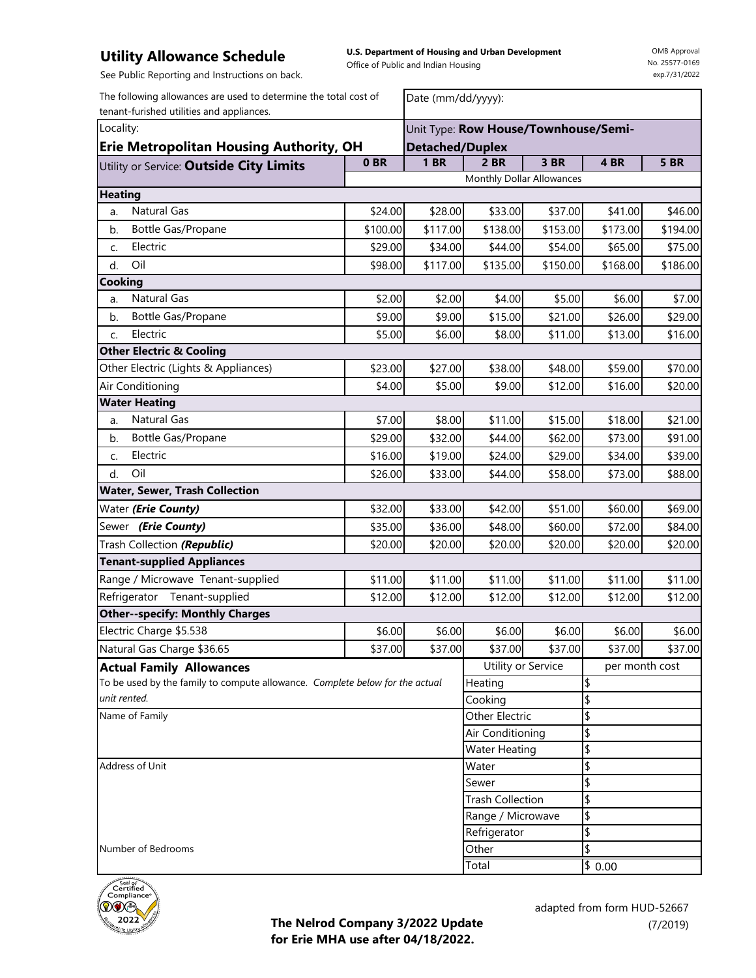**U.S. Department of Housing and Urban Development**  Office of Public and Indian Housing

Date (mm/dd/yyyy):

OMB Approval No. 25577-0169 exp.7/31/2022

See Public Reporting and Instructions on back.

The following allowances are used to determine the total cost of tenant-furished utilities and appliances.

| money more which concerns<br>Locality:                                       | Unit Type: Row House/Townhouse/Semi- |                                              |                           |                    |                 |             |
|------------------------------------------------------------------------------|--------------------------------------|----------------------------------------------|---------------------------|--------------------|-----------------|-------------|
| <b>Erie Metropolitan Housing Authority, OH</b>                               | <b>Detached/Duplex</b>               |                                              |                           |                    |                 |             |
| Utility or Service: Outside City Limits                                      | 0 <sub>BR</sub>                      | <b>1 BR</b>                                  | 2 BR                      | 3 BR               | 4BR             | <b>5 BR</b> |
|                                                                              |                                      |                                              | Monthly Dollar Allowances |                    |                 |             |
| <b>Heating</b>                                                               |                                      |                                              |                           |                    |                 |             |
| Natural Gas<br>a.                                                            | \$24.00                              | \$28.00                                      | \$33.00                   | \$37.00            | \$41.00         | \$46.00     |
| Bottle Gas/Propane<br>b.                                                     | \$100.00                             | \$117.00                                     | \$138.00                  | \$153.00           | \$173.00        | \$194.00    |
| Electric<br>C.                                                               | \$29.00                              | \$34.00                                      | \$44.00                   | \$54.00            | \$65.00         | \$75.00     |
| Oil<br>d.                                                                    | \$98.00                              | \$117.00                                     | \$135.00                  | \$150.00           | \$168.00        | \$186.00    |
| Cooking                                                                      |                                      |                                              |                           |                    |                 |             |
| Natural Gas<br>a.                                                            | \$2.00                               | \$2.00                                       | \$4.00                    | \$5.00             | \$6.00          | \$7.00      |
| b.<br>Bottle Gas/Propane                                                     | \$9.00                               | \$9.00                                       | \$15.00                   | \$21.00            | \$26.00         | \$29.00     |
| Electric<br>C.                                                               | \$5.00                               | \$6.00                                       | \$8.00                    | \$11.00            | \$13.00         | \$16.00     |
| <b>Other Electric &amp; Cooling</b>                                          |                                      |                                              |                           |                    |                 |             |
| Other Electric (Lights & Appliances)                                         | \$23.00                              | \$27.00                                      | \$38.00                   | \$48.00            | \$59.00         | \$70.00     |
| Air Conditioning                                                             | \$4.00                               | \$5.00                                       | \$9.00                    | \$12.00            | \$16.00         | \$20.00     |
| <b>Water Heating</b>                                                         |                                      |                                              |                           |                    |                 |             |
| Natural Gas<br>a.                                                            | \$7.00                               | \$8.00                                       | \$11.00                   | \$15.00            | \$18.00         | \$21.00     |
| Bottle Gas/Propane<br>b.                                                     | \$29.00                              | \$32.00                                      | \$44.00                   | \$62.00            | \$73.00         | \$91.00     |
| Electric<br>C.                                                               | \$16.00                              | \$19.00                                      | \$24.00                   | \$29.00            | \$34.00         | \$39.00     |
| Oil<br>d.                                                                    | \$26.00                              | \$33.00                                      | \$44.00                   | \$58.00            | \$73.00         | \$88.00     |
| Water, Sewer, Trash Collection                                               |                                      |                                              |                           |                    |                 |             |
| Water ( <i>Erie County</i> )                                                 | \$32.00                              | \$33.00                                      | \$42.00                   | \$51.00            | \$60.00         | \$69.00     |
| Sewer ( <i>Erie County</i> )                                                 | \$35.00                              | \$36.00                                      | \$48.00                   | \$60.00            | \$72.00         | \$84.00     |
| Trash Collection (Republic)                                                  | \$20.00                              | \$20.00                                      | \$20.00                   | \$20.00            | \$20.00         | \$20.00     |
| <b>Tenant-supplied Appliances</b>                                            |                                      |                                              |                           |                    |                 |             |
| Range / Microwave Tenant-supplied                                            | \$11.00                              | \$11.00                                      | \$11.00                   | \$11.00            | \$11.00         | \$11.00     |
| Refrigerator Tenant-supplied                                                 | \$12.00                              | \$12.00                                      | \$12.00                   | \$12.00            | \$12.00         | \$12.00     |
| <b>Other--specify: Monthly Charges</b>                                       |                                      |                                              |                           |                    |                 |             |
| Electric Charge \$5.538                                                      | \$6.00                               | \$6.00                                       | \$6.00                    | \$6.00             | \$6.00          | \$6.00      |
| Natural Gas Charge \$36.65                                                   | \$37.00                              | \$37.00                                      | \$37.00                   | \$37.00            | \$37.00         | \$37.00     |
| <b>Actual Family Allowances</b>                                              |                                      |                                              |                           | Utility or Service | per month cost  |             |
| To be used by the family to compute allowance. Complete below for the actual |                                      |                                              | Heating                   |                    | \$              |             |
| unit rented.                                                                 |                                      |                                              | Cooking                   |                    | \$              |             |
| Name of Family                                                               |                                      | Other Electric                               |                           | \$                 |                 |             |
|                                                                              |                                      | Air Conditioning                             |                           | \$                 |                 |             |
|                                                                              |                                      |                                              | <b>Water Heating</b>      |                    | \$              |             |
| Address of Unit                                                              |                                      |                                              | Water                     |                    | \$              |             |
|                                                                              | Sewer                                |                                              |                           | \$                 |                 |             |
|                                                                              |                                      | <b>Trash Collection</b><br>Range / Microwave |                           | \$                 |                 |             |
|                                                                              |                                      |                                              |                           | \$                 |                 |             |
| Number of Bedrooms                                                           |                                      |                                              | Refrigerator<br>Other     |                    | \$<br>\$        |             |
|                                                                              |                                      |                                              | Total                     |                    | $\sqrt{6}$ 0.00 |             |
|                                                                              |                                      |                                              |                           |                    |                 |             |

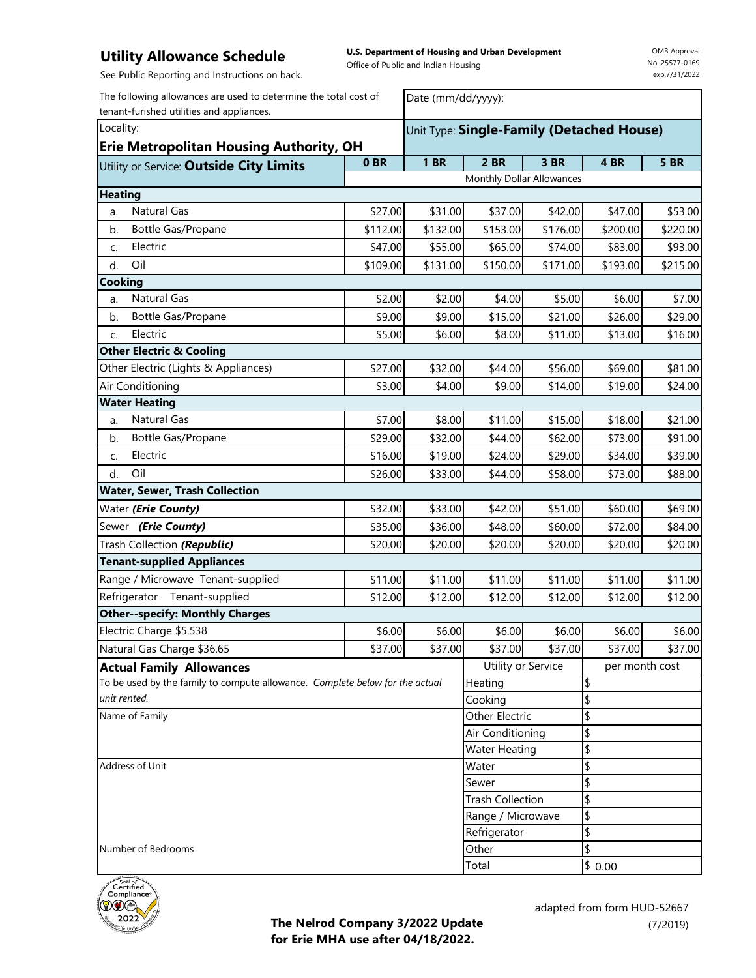**U.S. Department of Housing and Urban Development**  Office of Public and Indian Housing

Date (mm/dd/yyyy):

OMB Approval No. 25577-0169 exp.7/31/2022

See Public Reporting and Instructions on back.

The following allowances are used to determine the total cost of tenant-furished utilities and appliances.

| Locality:<br><b>Erie Metropolitan Housing Authority, OH</b>                  |                                         | Unit Type: Single-Family (Detached House) |             |                         |          |                |             |  |
|------------------------------------------------------------------------------|-----------------------------------------|-------------------------------------------|-------------|-------------------------|----------|----------------|-------------|--|
|                                                                              | Utility or Service: Outside City Limits | 0 <sub>BR</sub>                           | <b>1 BR</b> | <b>2 BR</b>             | 3 BR     | 4BR            | <b>5 BR</b> |  |
|                                                                              |                                         | Monthly Dollar Allowances                 |             |                         |          |                |             |  |
| <b>Heating</b>                                                               |                                         |                                           |             |                         |          |                |             |  |
| a.                                                                           | <b>Natural Gas</b>                      | \$27.00                                   | \$31.00     | \$37.00                 | \$42.00  | \$47.00        | \$53.00     |  |
| b.                                                                           | Bottle Gas/Propane                      | \$112.00                                  | \$132.00    | \$153.00                | \$176.00 | \$200.00       | \$220.00    |  |
| C.                                                                           | Electric                                | \$47.00                                   | \$55.00     | \$65.00                 | \$74.00  | \$83.00        | \$93.00     |  |
| d.                                                                           | Oil                                     | \$109.00                                  | \$131.00    | \$150.00                | \$171.00 | \$193.00       | \$215.00    |  |
| Cooking                                                                      |                                         |                                           |             |                         |          |                |             |  |
| a.                                                                           | <b>Natural Gas</b>                      | \$2.00                                    | \$2.00      | \$4.00                  | \$5.00   | \$6.00         | \$7.00      |  |
| b.                                                                           | Bottle Gas/Propane                      | \$9.00                                    | \$9.00      | \$15.00                 | \$21.00  | \$26.00        | \$29.00     |  |
| C.                                                                           | Electric                                | \$5.00                                    | \$6.00      | \$8.00                  | \$11.00  | \$13.00        | \$16.00     |  |
|                                                                              | <b>Other Electric &amp; Cooling</b>     |                                           |             |                         |          |                |             |  |
|                                                                              | Other Electric (Lights & Appliances)    | \$27.00                                   | \$32.00     | \$44.00                 | \$56.00  | \$69.00        | \$81.00     |  |
|                                                                              | Air Conditioning                        | \$3.00                                    | \$4.00      | \$9.00                  | \$14.00  | \$19.00        | \$24.00     |  |
|                                                                              | <b>Water Heating</b>                    |                                           |             |                         |          |                |             |  |
| a.                                                                           | Natural Gas                             | \$7.00                                    | \$8.00      | \$11.00                 | \$15.00  | \$18.00        | \$21.00     |  |
| b.                                                                           | Bottle Gas/Propane                      | \$29.00                                   | \$32.00     | \$44.00                 | \$62.00  | \$73.00        | \$91.00     |  |
| C.                                                                           | Electric                                | \$16.00                                   | \$19.00     | \$24.00                 | \$29.00  | \$34.00        | \$39.00     |  |
| d.                                                                           | Oil                                     | \$26.00                                   | \$33.00     | \$44.00                 | \$58.00  | \$73.00        | \$88.00     |  |
|                                                                              | Water, Sewer, Trash Collection          |                                           |             |                         |          |                |             |  |
|                                                                              | Water ( <i>Erie County</i> )            | \$32.00                                   | \$33.00     | \$42.00                 | \$51.00  | \$60.00        | \$69.00     |  |
|                                                                              | Sewer (Erie County)                     | \$35.00                                   | \$36.00     | \$48.00                 | \$60.00  | \$72.00        | \$84.00     |  |
|                                                                              | Trash Collection (Republic)             | \$20.00                                   | \$20.00     | \$20.00                 | \$20.00  | \$20.00        | \$20.00     |  |
|                                                                              | <b>Tenant-supplied Appliances</b>       |                                           |             |                         |          |                |             |  |
|                                                                              | Range / Microwave Tenant-supplied       | \$11.00                                   | \$11.00     | \$11.00                 | \$11.00  | \$11.00        | \$11.00     |  |
|                                                                              | Refrigerator Tenant-supplied            | \$12.00                                   | \$12.00     | \$12.00                 | \$12.00  | \$12.00        | \$12.00     |  |
|                                                                              | <b>Other--specify: Monthly Charges</b>  |                                           |             |                         |          |                |             |  |
|                                                                              | Electric Charge \$5.538                 | \$6.00                                    | \$6.00      | \$6.00                  | \$6.00   | \$6.00         | \$6.00      |  |
|                                                                              | Natural Gas Charge \$36.65              | \$37.00                                   | \$37.00     | \$37.00                 | \$37.00  | \$37.00        | \$37.00     |  |
| <b>Actual Family Allowances</b>                                              |                                         |                                           |             | Utility or Service      |          | per month cost |             |  |
| To be used by the family to compute allowance. Complete below for the actual |                                         |                                           |             | Heating                 |          | \$             |             |  |
| unit rented.                                                                 |                                         |                                           |             | \$<br>Cooking           |          |                |             |  |
| Name of Family                                                               |                                         |                                           |             | Other Electric          |          | \$             |             |  |
|                                                                              |                                         |                                           |             | Air Conditioning        |          | \$             |             |  |
|                                                                              |                                         |                                           |             | <b>Water Heating</b>    |          | \$             |             |  |
| Address of Unit                                                              |                                         |                                           |             | Water<br>Sewer          |          | \$<br>\$       |             |  |
|                                                                              |                                         |                                           |             | <b>Trash Collection</b> |          | \$             |             |  |
|                                                                              |                                         |                                           |             | Range / Microwave       |          | \$             |             |  |
|                                                                              |                                         |                                           |             | Refrigerator            |          | \$             |             |  |
| Number of Bedrooms                                                           |                                         |                                           | Other       |                         | \$       |                |             |  |
|                                                                              |                                         |                                           |             | Total                   |          | \$0.00         |             |  |